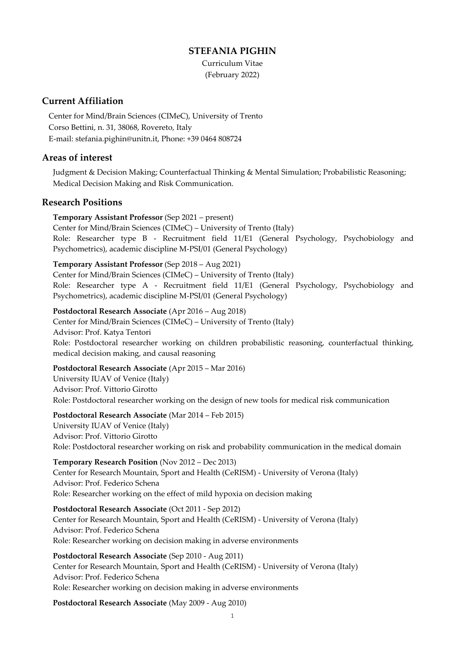### **STEFANIA PIGHIN**

Curriculum Vitae (February 2022)

## **Current Affiliation**

Center for Mind/Brain Sciences (CIMeC), University of Trento Corso Bettini, n. 31, 38068, Rovereto, Italy E-mail[: stefania.pighin@unitn.it,](mailto:stefania.pighin@unitn.it) Phone: +39 0464 808724

### **Areas of interest**

Judgment & Decision Making; Counterfactual Thinking & Mental Simulation; Probabilistic Reasoning; Medical Decision Making and Risk Communication.

### **Research Positions**

**Temporary Assistant Professor** (Sep 2021 – present) Center for Mind/Brain Sciences (CIMeC) – University of Trento (Italy) Role: Researcher type B - Recruitment field 11/E1 (General Psychology, Psychobiology and Psychometrics), academic discipline M-PSI/01 (General Psychology)

### **Temporary Assistant Professor** (Sep 2018 – Aug 2021)

Center for Mind/Brain Sciences (CIMeC) – University of Trento (Italy) Role: Researcher type A - Recruitment field 11/E1 (General Psychology, Psychobiology and Psychometrics), academic discipline M-PSI/01 (General Psychology)

**Postdoctoral Research Associate** (Apr 2016 – Aug 2018) Center for Mind/Brain Sciences (CIMeC) – University of Trento (Italy) Advisor: Prof. Katya Tentori Role: Postdoctoral researcher working on children probabilistic reasoning, counterfactual thinking, medical decision making, and causal reasoning

#### **Postdoctoral Research Associate** (Apr 2015 – Mar 2016)

University IUAV of Venice (Italy) Advisor: Prof. Vittorio Girotto Role: Postdoctoral researcher working on the design of new tools for medical risk communication

#### **Postdoctoral Research Associate** (Mar 2014 – Feb 2015)

University IUAV of Venice (Italy) Advisor: Prof. Vittorio Girotto Role: Postdoctoral researcher working on risk and probability communication in the medical domain

**Temporary Research Position** (Nov 2012 – Dec 2013) Center for Research Mountain, Sport and Health (CeRISM) - University of Verona (Italy) Advisor: Prof. Federico Schena Role: Researcher working on the effect of mild hypoxia on decision making

**Postdoctoral Research Associate** (Oct 2011 - Sep 2012) Center for Research Mountain, Sport and Health (CeRISM) - University of Verona (Italy) Advisor: Prof. Federico Schena Role: Researcher working on decision making in adverse environments

# **Postdoctoral Research Associate** (Sep 2010 - Aug 2011)

Center for Research Mountain, Sport and Health (CeRISM) - University of Verona (Italy) Advisor: Prof. Federico Schena Role: Researcher working on decision making in adverse environments

### **Postdoctoral Research Associate** (May 2009 - Aug 2010)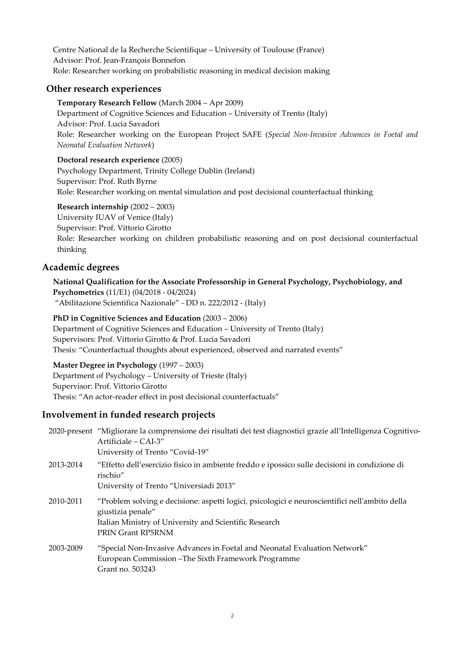Centre National de la Recherche Scientifique – University of Toulouse (France) Advisor: Prof. Jean-François Bonnefon Role: Researcher working on probabilistic reasoning in medical decision making

## **Other research experiences**

**Temporary Research Fellow** (March 2004 – Apr 2009) Department of Cognitive Sciences and Education – University of Trento (Italy) Advisor: Prof. Lucia Savadori Role: Researcher working on the European Project SAFE (*Special Non-Invasive Advances in Foetal and Neonatal Evaluation Network*)

### **Doctoral research experience** (2005)

Psychology Department, Trinity College Dublin (Ireland) Supervisor: Prof. Ruth Byrne Role: Researcher working on mental simulation and post decisional counterfactual thinking

### **Research internship** (2002 – 2003)

University IUAV of Venice (Italy) Supervisor: Prof. Vittorio Girotto Role: Researcher working on children probabilistic reasoning and on post decisional counterfactual thinking

## **Academic degrees**

**National Qualification for the Associate Professorship in General Psychology, Psychobiology, and Psychometrics** (11/E1) (04/2018 - 04/2024) "Abilitazione Scientifica Nazionale" - DD n. 222/2012 - (Italy)

### **PhD in Cognitive Sciences and Education** (2003 – 2006)

Department of Cognitive Sciences and Education – University of Trento (Italy) Supervisors: Prof. Vittorio Girotto & Prof. Lucia Savadori Thesis: "Counterfactual thoughts about experienced, observed and narrated events"

#### **Master Degree in Psychology** (1997 – 2003)

Department of Psychology – University of Trieste (Italy) Supervisor: Prof. Vittorio Girotto Thesis: "An actor-reader effect in post decisional counterfactuals"

## **Involvement in funded research projects**

|           | 2020-present "Migliorare la comprensione dei risultati dei test diagnostici grazie all'Intelligenza Cognitivo-<br>Artificiale – $CAI-3''$<br>University of Trento "Covid-19"                       |
|-----------|----------------------------------------------------------------------------------------------------------------------------------------------------------------------------------------------------|
| 2013-2014 | "Effetto dell'esercizio fisico in ambiente freddo e ipossico sulle decisioni in condizione di<br>rischio"<br>University of Trento "Universiadi 2013"                                               |
| 2010-2011 | "Problem solving e decisione: aspetti logici, psicologici e neuroscientifici nell'ambito della<br>giustizia penale"<br>Italian Ministry of University and Scientific Research<br>PRIN Grant RP5RNM |
| 2003-2009 | "Special Non-Invasive Advances in Foetal and Neonatal Evaluation Network"<br>European Commission – The Sixth Framework Programme<br>Grant no. 503243                                               |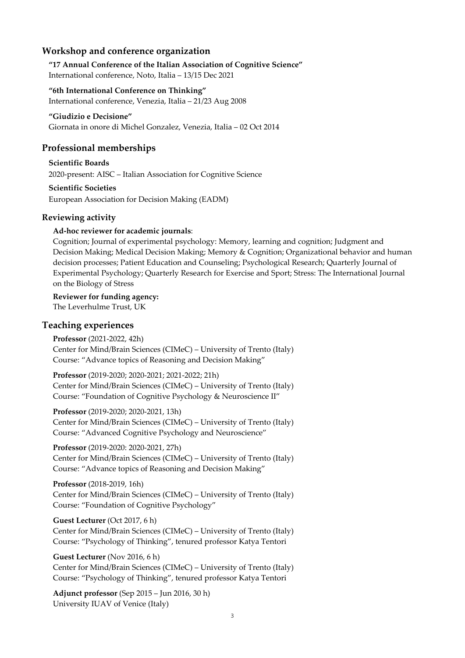## **Workshop and conference organization**

**"17 Annual Conference of the Italian Association of Cognitive Science"** International conference, Noto, Italia – 13/15 Dec 2021

#### **"6th International Conference on Thinking"**

International conference, Venezia, Italia – 21/23 Aug 2008

#### **"Giudizio e Decisione"**

Giornata in onore di Michel Gonzalez, Venezia, Italia – 02 Oct 2014

### **Professional memberships**

**Scientific Boards** 2020-present: AISC – Italian Association for Cognitive Science

**Scientific Societies**

European Association for Decision Making (EADM)

### **Reviewing activity**

#### **Ad-hoc reviewer for academic journals**:

Cognition; Journal of experimental psychology: Memory, learning and cognition; Judgment and Decision Making; Medical Decision Making; Memory & Cognition; Organizational behavior and human decision processes; Patient Education and Counseling; Psychological Research; Quarterly Journal of Experimental Psychology; Quarterly Research for Exercise and Sport; Stress: The International Journal on the Biology of Stress

**Reviewer for funding agency:** The Leverhulme Trust, UK

## **Teaching experiences**

**Professor** (2021-2022, 42h) Center for Mind/Brain Sciences (CIMeC) – University of Trento (Italy) Course: "Advance topics of Reasoning and Decision Making"

**Professor** (2019-2020; 2020-2021; 2021-2022; 21h) Center for Mind/Brain Sciences (CIMeC) – University of Trento (Italy) Course: "Foundation of Cognitive Psychology & Neuroscience II"

**Professor** (2019-2020; 2020-2021, 13h) Center for Mind/Brain Sciences (CIMeC) – University of Trento (Italy) Course: "Advanced Cognitive Psychology and Neuroscience"

**Professor** (2019-2020: 2020-2021, 27h) Center for Mind/Brain Sciences (CIMeC) – University of Trento (Italy) Course: "Advance topics of Reasoning and Decision Making"

**Professor** (2018-2019, 16h) Center for Mind/Brain Sciences (CIMeC) – University of Trento (Italy) Course: "Foundation of Cognitive Psychology"

**Guest Lecturer** (Oct 2017, 6 h) Center for Mind/Brain Sciences (CIMeC) – University of Trento (Italy) Course: "Psychology of Thinking", tenured professor Katya Tentori

**Guest Lecturer** (Nov 2016, 6 h) Center for Mind/Brain Sciences (CIMeC) – University of Trento (Italy) Course: "Psychology of Thinking", tenured professor Katya Tentori

**Adjunct professor** (Sep 2015 – Jun 2016, 30 h) University IUAV of Venice (Italy)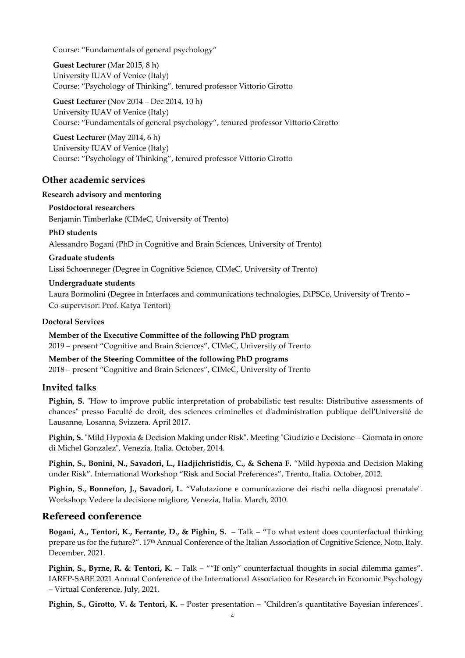Course: "Fundamentals of general psychology"

**Guest Lecturer** (Mar 2015, 8 h) University IUAV of Venice (Italy) Course: "Psychology of Thinking", tenured professor Vittorio Girotto

**Guest Lecturer** (Nov 2014 – Dec 2014, 10 h) University IUAV of Venice (Italy) Course: "Fundamentals of general psychology", tenured professor Vittorio Girotto

**Guest Lecturer** (May 2014, 6 h) University IUAV of Venice (Italy) Course: "Psychology of Thinking", tenured professor Vittorio Girotto

#### **Other academic services**

#### **Research advisory and mentoring**

**Postdoctoral researchers** Benjamin Timberlake (CIMeC, University of Trento)

**PhD students** Alessandro Bogani (PhD in Cognitive and Brain Sciences, University of Trento)

**Graduate students** Lissi Schoenneger (Degree in Cognitive Science, CIMeC, University of Trento)

#### **Undergraduate students**

Laura Bormolini (Degree in Interfaces and communications technologies, DiPSCo, University of Trento – Co-supervisor: Prof. Katya Tentori)

#### **Doctoral Services**

**Member of the Executive Committee of the following PhD program** 2019 – present "Cognitive and Brain Sciences", CIMeC, University of Trento

**Member of the Steering Committee of the following PhD programs**  2018 – present "Cognitive and Brain Sciences", CIMeC, University of Trento

#### **Invited talks**

**Pighin, S.** "How to improve public interpretation of probabilistic test results: Distributive assessments of chances" presso Faculté de droit, des sciences criminelles et d'administration publique dell'Université de Lausanne, Losanna, Svizzera. April 2017.

**Pighin, S.** "Mild Hypoxia & Decision Making under Risk". Meeting "Giudizio e Decisione – Giornata in onore di Michel Gonzalez", Venezia, Italia. October, 2014.

**Pighin, S., Bonini, N., Savadori, L., Hadjichristidis, C., & Schena F.** "Mild hypoxia and Decision Making under Risk". International Workshop "Risk and Social Preferences", Trento, Italia. October, 2012.

**Pighin, S., Bonnefon, J., Savadori, L.** "Valutazione e comunicazione dei rischi nella diagnosi prenatale". Workshop: Vedere la decisione migliore, Venezia, Italia. March, 2010.

### **Refereed conference**

**Bogani, A., Tentori, K., Ferrante, D., & Pighin, S.** – Talk – "To what extent does counterfactual thinking prepare us for the future?". 17<sup>th</sup> Annual Conference of the Italian Association of Cognitive Science, Noto, Italy. December, 2021.

Pighin, S., Byrne, R. & Tentori, K. - Talk - ""If only" counterfactual thoughts in social dilemma games". IAREP-SABE 2021 Annual Conference of the International Association for Research in Economic Psychology – Virtual Conference. July, 2021.

**Pighin, S., Girotto, V. & Tentori, K.** – Poster presentation – "Children's quantitative Bayesian inferences".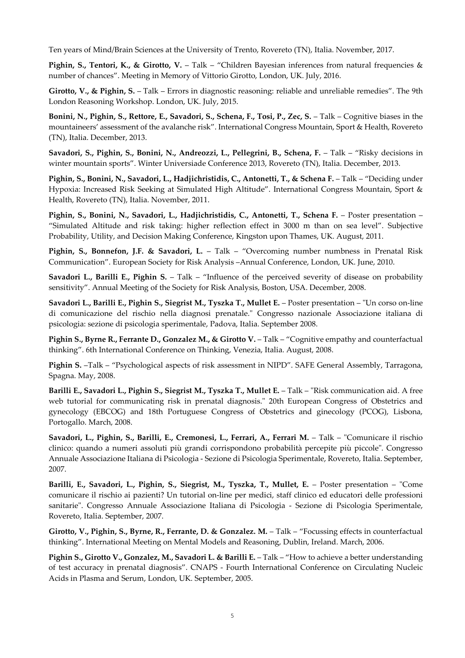Ten years of Mind/Brain Sciences at the University of Trento, Rovereto (TN), Italia. November, 2017.

**Pighin, S., Tentori, K., & Girotto, V.** – Talk – "Children Bayesian inferences from natural frequencies & number of chances". Meeting in Memory of Vittorio Girotto, London, UK. July, 2016.

**Girotto, V., & Pighin, S.** – Talk – Errors in diagnostic reasoning: reliable and unreliable remedies". The 9th London Reasoning Workshop. London, UK. July, 2015.

**Bonini, N., Pighin, S., Rettore, E., Savadori, S., Schena, F., Tosi, P., Zec, S.** – Talk – Cognitive biases in the mountaineers' assessment of the avalanche risk". International Congress Mountain, Sport & Health, Rovereto (TN), Italia. December, 2013.

**Savadori, S., Pighin, S., Bonini, N., Andreozzi, L., Pellegrini, B., Schena, F.** – Talk – "Risky decisions in winter mountain sports". Winter Universiade Conference 2013, Rovereto (TN), Italia. December, 2013.

**Pighin, S., Bonini, N., Savadori, L., Hadjichristidis, C., Antonetti, T., & Schena F.** – Talk – "Deciding under Hypoxia: Increased Risk Seeking at Simulated High Altitude". International Congress Mountain, Sport & Health, Rovereto (TN), Italia. November, 2011.

**Pighin, S., Bonini, N., Savadori, L., Hadjichristidis, C., Antonetti, T., Schena F.** – Poster presentation – "Simulated Altitude and risk taking: higher reflection effect in 3000 m than on sea level". Subjective Probability, Utility, and Decision Making Conference, Kingston upon Thames, UK. August, 2011.

**Pighin, S., Bonnefon, J.F. & Savadori, L.** – Talk – "Overcoming number numbness in Prenatal Risk Communication". European Society for Risk Analysis –Annual Conference, London, UK. June, 2010.

**Savadori L., Barilli E., Pighin S.** – Talk – "Influence of the perceived severity of disease on probability sensitivity". Annual Meeting of the Society for Risk Analysis, Boston, USA. December, 2008.

**Savadori L., Barilli E., Pighin S., Siegrist M., Tyszka T., Mullet E.** – Poster presentation – "Un corso on-line di comunicazione del rischio nella diagnosi prenatale." Congresso nazionale Associazione italiana di psicologia: sezione di psicologia sperimentale, Padova, Italia. September 2008.

**Pighin S., Byrne R., Ferrante D., Gonzalez M., & Girotto V.** – Talk – "Cognitive empathy and counterfactual thinking". 6th International Conference on Thinking, Venezia, Italia. August, 2008.

**Pighin S.** –Talk – "Psychological aspects of risk assessment in NIPD". SAFE General Assembly, Tarragona, Spagna. May, 2008.

**Barilli E., Savadori L., Pighin S., Siegrist M., Tyszka T., Mullet E.** – Talk – "Risk communication aid. A free web tutorial for communicating risk in prenatal diagnosis." 20th European Congress of Obstetrics and gynecology (EBCOG) and 18th Portuguese Congress of Obstetrics and ginecology (PCOG), Lisbona, Portogallo. March, 2008.

**Savadori, L., Pighin, S., Barilli, E., Cremonesi, L., Ferrari, A., Ferrari M.** – Talk – "Comunicare il rischio clinico: quando a numeri assoluti più grandi corrispondono probabilità percepite più piccole". Congresso Annuale Associazione Italiana di Psicologia - Sezione di Psicologia Sperimentale, Rovereto, Italia. September, 2007.

**Barilli, E., Savadori, L., Pighin, S., Siegrist, M., Tyszka, T., Mullet, E.** – Poster presentation – "Come comunicare il rischio ai pazienti? Un tutorial on-line per medici, staff clinico ed educatori delle professioni sanitarie". Congresso Annuale Associazione Italiana di Psicologia - Sezione di Psicologia Sperimentale, Rovereto, Italia. September, 2007.

**Girotto, V., Pighin, S., Byrne, R., Ferrante, D. & Gonzalez. M.** – Talk – "Focussing effects in counterfactual thinking". International Meeting on Mental Models and Reasoning, Dublin, Ireland. March, 2006.

**Pighin S., Girotto V., Gonzalez, M., Savadori L. & Barilli E.** – Talk – "How to achieve a better understanding of test accuracy in prenatal diagnosis". CNAPS - Fourth International Conference on Circulating Nucleic Acids in Plasma and Serum, London, UK. September, 2005.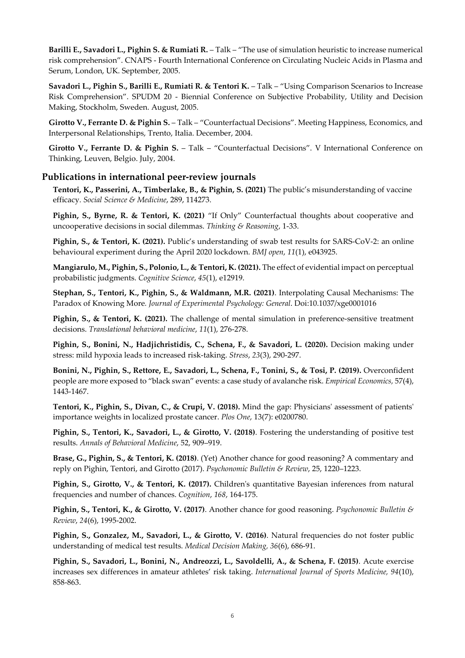**Barilli E., Savadori L., Pighin S. & Rumiati R.** – Talk – "The use of simulation heuristic to increase numerical risk comprehension". CNAPS - Fourth International Conference on Circulating Nucleic Acids in Plasma and Serum, London, UK. September, 2005.

**Savadori L., Pighin S., Barilli E., Rumiati R. & Tentori K.** – Talk – "Using Comparison Scenarios to Increase Risk Comprehension". SPUDM 20 - Biennial Conference on Subjective Probability, Utility and Decision Making, Stockholm, Sweden. August, 2005.

**Girotto V., Ferrante D. & Pighin S.** – Talk – "Counterfactual Decisions". Meeting Happiness, Economics, and Interpersonal Relationships, Trento, Italia. December, 2004.

Girotto V., Ferrante D. & Pighin S. - Talk - "Counterfactual Decisions". V International Conference on Thinking, Leuven, Belgio. July, 2004.

#### **Publications in international peer-review journals**

**Tentori, K., Passerini, A., Timberlake, B., & Pighin, S. (2021)** The public's misunderstanding of vaccine efficacy. *Social Science & Medicine*, 289, 114273.

**Pighin, S., Byrne, R. & Tentori, K. (2021)** "If Only" Counterfactual thoughts about cooperative and uncooperative decisions in social dilemmas. *Thinking & Reasoning*, 1-33.

**Pighin, S., & Tentori, K. (2021).** Public's understanding of swab test results for SARS-CoV-2: an online behavioural experiment during the April 2020 lockdown. *BMJ open*, *11*(1), e043925.

**Mangiarulo, M., Pighin, S., Polonio, L., & Tentori, K. (2021).** The effect of evidential impact on perceptual probabilistic judgments. *Cognitive Science*, *45*(1), e12919.

**Stephan, S., Tentori, K., Pighin, S., & Waldmann, M.R. (2021)**. Interpolating Causal Mechanisms: The Paradox of Knowing More*. Journal of Experimental Psychology: General*. Doi:10.1037/xge0001016

**Pighin, S., & Tentori, K. (2021).** The challenge of mental simulation in preference-sensitive treatment decisions. *Translational behavioral medicine*, *11*(1), 276-278.

**Pighin, S., Bonini, N., Hadjichristidis, C., Schena, F., & Savadori, L. (2020).** Decision making under stress: mild hypoxia leads to increased risk-taking. *Stress*, *23*(3), 290-297.

**Bonini, N., Pighin, S., Rettore, E., Savadori, L., Schena, F., Tonini, S., & Tosi, P. (2019).** Overconfident people are more exposed to "black swan" events: a case study of avalanche risk. *Empirical Economics,* 57(4), 1443-1467.

**Tentori, K., Pighin, S., Divan, C., & Crupi, V. (2018).** Mind the gap: Physicians' assessment of patients' importance weights in localized prostate cancer. *Plos One*, 13(7): e0200780.

**Pighin, S., Tentori, K., Savadori, L., & Girotto, V. (2018)**. Fostering the understanding of positive test results. *Annals of Behavioral Medicine*, 52, 909–919.

**Brase, G., Pighin, S., & Tentori, K. (2018)**. (Yet) Another chance for good reasoning? A commentary and reply on Pighin, Tentori, and Girotto (2017). *Psychonomic Bulletin & Review*, 25, 1220–1223.

**Pighin, S., Girotto, V., & Tentori, K. (2017).** Children's quantitative Bayesian inferences from natural frequencies and number of chances. *Cognition*, *168*, 164-175.

**Pighin, S., Tentori, K., & Girotto, V. (2017)**. Another chance for good reasoning. *Psychonomic Bulletin & Review*, *24*(6), 1995-2002.

**Pighin, S., Gonzalez, M., Savadori, L., & Girotto, V. (2016)**. Natural frequencies do not foster public understanding of medical test results. *Medical Decision Making, 36*(6), 686-91.

**Pighin, S., Savadori, L., Bonini, N., Andreozzi, L., Savoldelli, A., & Schena, F. (2015)**. Acute exercise increases sex differences in amateur athletes' risk taking. *International Journal of Sports Medicine, 94*(10), 858-863.